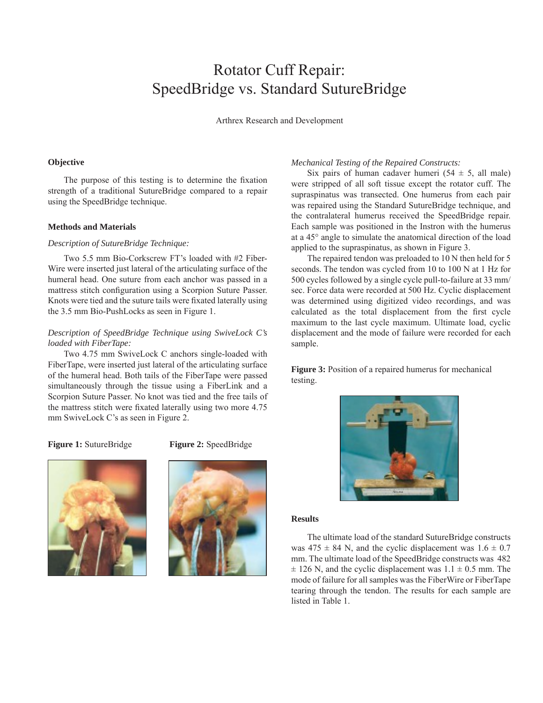# Rotator Cuff Repair: SpeedBridge vs. Standard SutureBridge

Arthrex Research and Development

# **Objective**

The purpose of this testing is to determine the fixation strength of a traditional SutureBridge compared to a repair using the SpeedBridge technique.

#### **Methods and Materials**

### *Description of SutureBridge Technique:*

Two 5.5 mm Bio-Corkscrew FT's loaded with #2 Fiber-Wire were inserted just lateral of the articulating surface of the humeral head. One suture from each anchor was passed in a mattress stitch configuration using a Scorpion Suture Passer. Knots were tied and the suture tails were fixated laterally using the 3.5 mm Bio-PushLocks as seen in Figure 1.

# *Description of SpeedBridge Technique using SwiveLock C's loaded with FiberTape:*

Two 4.75 mm SwiveLock C anchors single-loaded with FiberTape, were inserted just lateral of the articulating surface of the humeral head. Both tails of the FiberTape were passed simultaneously through the tissue using a FiberLink and a Scorpion Suture Passer. No knot was tied and the free tails of the mattress stitch were fixated laterally using two more 4.75 mm SwiveLock C's as seen in Figure 2.

**Figure 1:** SutureBridge

**Figure 2:** SpeedBridge





## *Mechanical Testing of the Repaired Constructs:*

Six pairs of human cadaver humeri  $(54 \pm 5,$  all male) were stripped of all soft tissue except the rotator cuff. The supraspinatus was transected. One humerus from each pair was repaired using the Standard SutureBridge technique, and the contralateral humerus received the SpeedBridge repair. Each sample was positioned in the Instron with the humerus at a 45° angle to simulate the anatomical direction of the load applied to the supraspinatus, as shown in Figure 3.

The repaired tendon was preloaded to 10 N then held for 5 seconds. The tendon was cycled from 10 to 100 N at 1 Hz for 500 cycles followed by a single cycle pull-to-failure at 33 mm/ sec. Force data were recorded at 500 Hz. Cyclic displacement was determined using digitized video recordings, and was calculated as the total displacement from the first cycle maximum to the last cycle maximum. Ultimate load, cyclic displacement and the mode of failure were recorded for each sample.

**Figure 3:** Position of a repaired humerus for mechanical testing.



### **Results**

The ultimate load of the standard SutureBridge constructs was  $475 \pm 84$  N, and the cyclic displacement was  $1.6 \pm 0.7$ mm. The ultimate load of the SpeedBridge constructs was 482  $\pm$  126 N, and the cyclic displacement was  $1.1 \pm 0.5$  mm. The mode of failure for all samples was the FiberWire or FiberTape tearing through the tendon. The results for each sample are listed in Table 1.